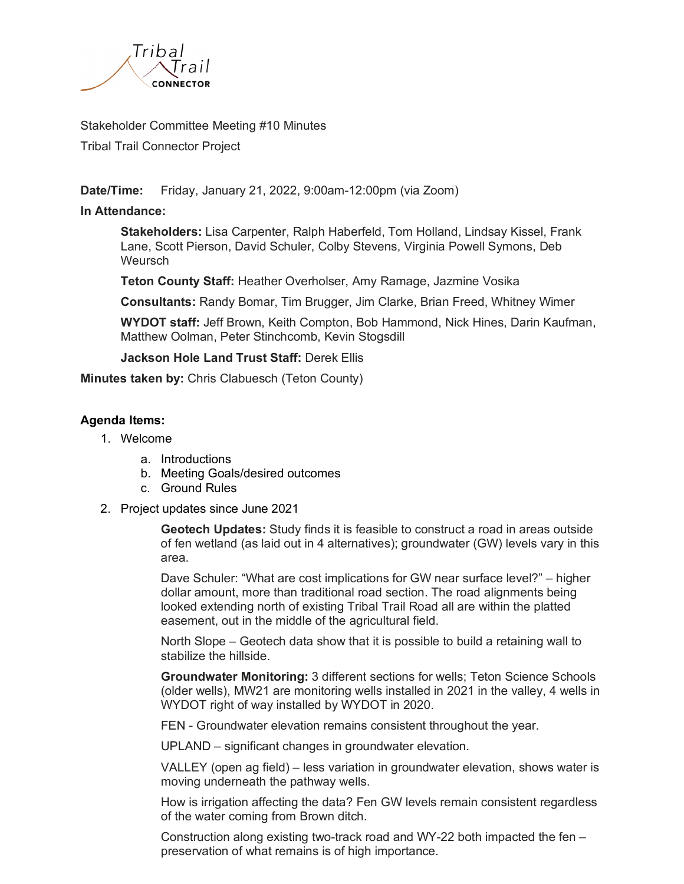

## Stakeholder Committee Meeting #10 Minutes

Tribal Trail Connector Project

**Date/Time:** Friday, January 21, 2022, 9:00am-12:00pm (via Zoom)

## **In Attendance:**

**Stakeholders:** Lisa Carpenter, Ralph Haberfeld, Tom Holland, Lindsay Kissel, Frank Lane, Scott Pierson, David Schuler, Colby Stevens, Virginia Powell Symons, Deb **Weursch** 

**Teton County Staff:** Heather Overholser, Amy Ramage, Jazmine Vosika

**Consultants:** Randy Bomar, Tim Brugger, Jim Clarke, Brian Freed, Whitney Wimer

**WYDOT staff:** Jeff Brown, Keith Compton, Bob Hammond, Nick Hines, Darin Kaufman, Matthew Oolman, Peter Stinchcomb, Kevin Stogsdill

**Jackson Hole Land Trust Staff:** Derek Ellis

**Minutes taken by:** Chris Clabuesch (Teton County)

## **Agenda Items:**

- 1. Welcome
	- a. Introductions
	- b. Meeting Goals/desired outcomes
	- c. Ground Rules
- 2. Project updates since June 2021

**Geotech Updates:** Study finds it is feasible to construct a road in areas outside of fen wetland (as laid out in 4 alternatives); groundwater (GW) levels vary in this area.

Dave Schuler: "What are cost implications for GW near surface level?" – higher dollar amount, more than traditional road section. The road alignments being looked extending north of existing Tribal Trail Road all are within the platted easement, out in the middle of the agricultural field.

North Slope – Geotech data show that it is possible to build a retaining wall to stabilize the hillside.

**Groundwater Monitoring:** 3 different sections for wells; Teton Science Schools (older wells), MW21 are monitoring wells installed in 2021 in the valley, 4 wells in WYDOT right of way installed by WYDOT in 2020.

FEN - Groundwater elevation remains consistent throughout the year.

UPLAND – significant changes in groundwater elevation.

VALLEY (open ag field) – less variation in groundwater elevation, shows water is moving underneath the pathway wells.

How is irrigation affecting the data? Fen GW levels remain consistent regardless of the water coming from Brown ditch.

Construction along existing two-track road and WY-22 both impacted the fen – preservation of what remains is of high importance.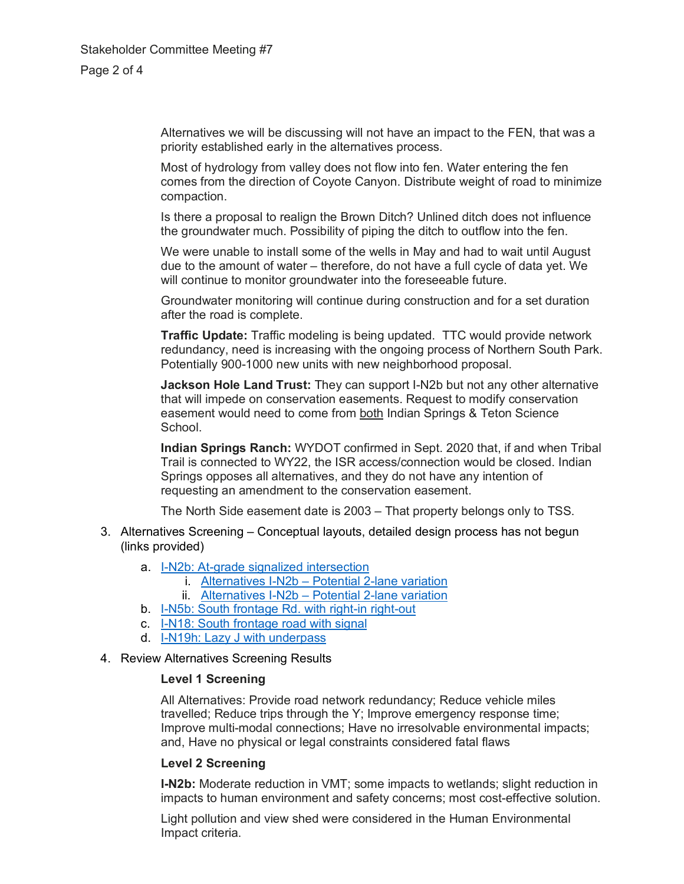Alternatives we will be discussing will not have an impact to the FEN, that was a priority established early in the alternatives process.

Most of hydrology from valley does not flow into fen. Water entering the fen comes from the direction of Coyote Canyon. Distribute weight of road to minimize compaction.

Is there a proposal to realign the Brown Ditch? Unlined ditch does not influence the groundwater much. Possibility of piping the ditch to outflow into the fen.

We were unable to install some of the wells in May and had to wait until August due to the amount of water – therefore, do not have a full cycle of data yet. We will continue to monitor groundwater into the foreseeable future.

Groundwater monitoring will continue during construction and for a set duration after the road is complete.

**Traffic Update:** Traffic modeling is being updated. TTC would provide network redundancy, need is increasing with the ongoing process of Northern South Park. Potentially 900-1000 new units with new neighborhood proposal.

**Jackson Hole Land Trust:** They can support I-N2b but not any other alternative that will impede on conservation easements. Request to modify conservation easement would need to come from both Indian Springs & Teton Science School.

**Indian Springs Ranch:** WYDOT confirmed in Sept. 2020 that, if and when Tribal Trail is connected to WY22, the ISR access/connection would be closed. Indian Springs opposes all alternatives, and they do not have any intention of requesting an amendment to the conservation easement.

The North Side easement date is 2003 – That property belongs only to TSS.

- 3. Alternatives Screening Conceptual layouts, detailed design process has not begun (links provided)
	- a. [I-N2b: At-grade signalized intersection](https://www.tribaltrailconnector.com/Documents/TribalTrail_Stakeholder_Committee_10_Presentation_FINAL_2022-01-21.pdf#page=15)
		- i. Alternatives I-N2b [Potential 2-lane variation](https://www.tribaltrailconnector.com/Documents/TribalTrail_Stakeholder_Committee_10_Presentation_FINAL_2022-01-21.pdf#page=16)
		- ii. Alternatives I-N2b [Potential 2-lane variation](https://www.tribaltrailconnector.com/Documents/TribalTrail_Stakeholder_Committee_10_Presentation_FINAL_2022-01-21.pdf#page=17)
	- b. [I-N5b: South frontage Rd. with right-in right-out](https://www.tribaltrailconnector.com/Documents/TribalTrail_Stakeholder_Committee_10_Presentation_FINAL_2022-01-21.pdf#page=18)
	- c. [I-N18: South frontage road with signal](https://www.tribaltrailconnector.com/Documents/TribalTrail_Stakeholder_Committee_10_Presentation_FINAL_2022-01-21.pdf#page=19)
	- d. [I-N19h: Lazy J with underpass](https://www.tribaltrailconnector.com/Documents/TribalTrail_Stakeholder_Committee_10_Presentation_FINAL_2022-01-21.pdf#page=20)
- 4. Review Alternatives Screening Results

#### **Level 1 Screening**

All Alternatives: Provide road network redundancy; Reduce vehicle miles travelled; Reduce trips through the Y; Improve emergency response time; Improve multi-modal connections; Have no irresolvable environmental impacts; and, Have no physical or legal constraints considered fatal flaws

## **Level 2 Screening**

**I-N2b:** Moderate reduction in VMT; some impacts to wetlands; slight reduction in impacts to human environment and safety concerns; most cost-effective solution.

Light pollution and view shed were considered in the Human Environmental Impact criteria.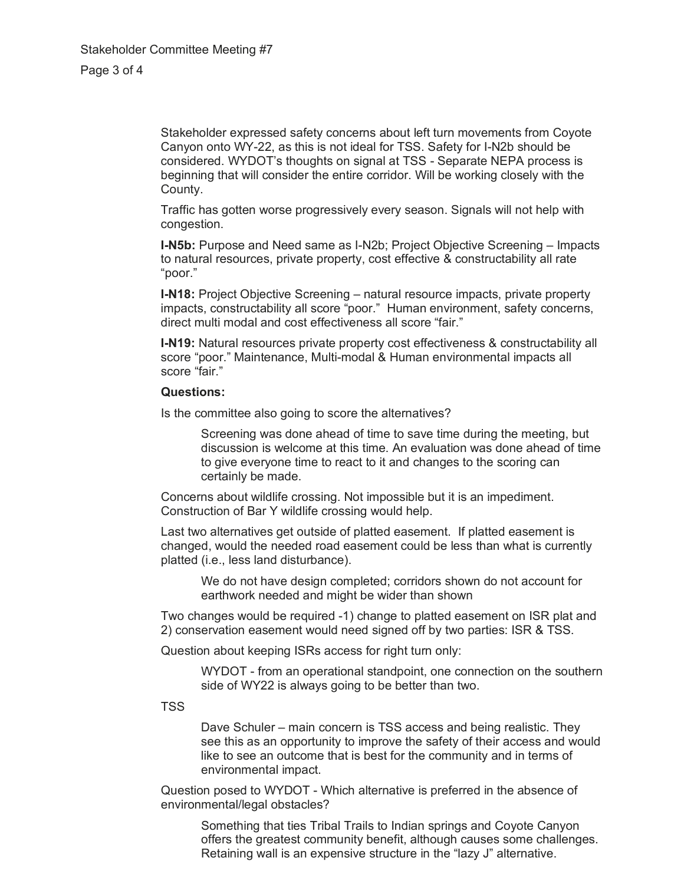Stakeholder expressed safety concerns about left turn movements from Coyote Canyon onto WY-22, as this is not ideal for TSS. Safety for I-N2b should be considered. WYDOT's thoughts on signal at TSS - Separate NEPA process is beginning that will consider the entire corridor. Will be working closely with the County.

Traffic has gotten worse progressively every season. Signals will not help with congestion.

**I-N5b:** Purpose and Need same as I-N2b; Project Objective Screening – Impacts to natural resources, private property, cost effective & constructability all rate "poor."

**I-N18:** Project Objective Screening – natural resource impacts, private property impacts, constructability all score "poor." Human environment, safety concerns, direct multi modal and cost effectiveness all score "fair."

**I-N19:** Natural resources private property cost effectiveness & constructability all score "poor." Maintenance, Multi-modal & Human environmental impacts all score "fair."

#### **Questions:**

Is the committee also going to score the alternatives?

Screening was done ahead of time to save time during the meeting, but discussion is welcome at this time. An evaluation was done ahead of time to give everyone time to react to it and changes to the scoring can certainly be made.

Concerns about wildlife crossing. Not impossible but it is an impediment. Construction of Bar Y wildlife crossing would help.

Last two alternatives get outside of platted easement. If platted easement is changed, would the needed road easement could be less than what is currently platted (i.e., less land disturbance).

We do not have design completed; corridors shown do not account for earthwork needed and might be wider than shown

Two changes would be required -1) change to platted easement on ISR plat and 2) conservation easement would need signed off by two parties: ISR & TSS.

Question about keeping ISRs access for right turn only:

WYDOT - from an operational standpoint, one connection on the southern side of WY22 is always going to be better than two.

TSS

Dave Schuler – main concern is TSS access and being realistic. They see this as an opportunity to improve the safety of their access and would like to see an outcome that is best for the community and in terms of environmental impact.

Question posed to WYDOT - Which alternative is preferred in the absence of environmental/legal obstacles?

Something that ties Tribal Trails to Indian springs and Coyote Canyon offers the greatest community benefit, although causes some challenges. Retaining wall is an expensive structure in the "lazy J" alternative.